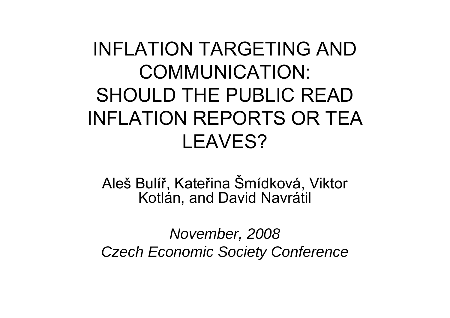### INFLATION TARGETING AND COMMUNICATION: SHOULD THE PUBLIC READ INFLATION REPORTS OR TEA LEAVES?

Aleš Bulí ř, Kate řina Šmídková, Viktor Kotlán, and David Navrátil

*November, 2008 Czech Economic Society Conference*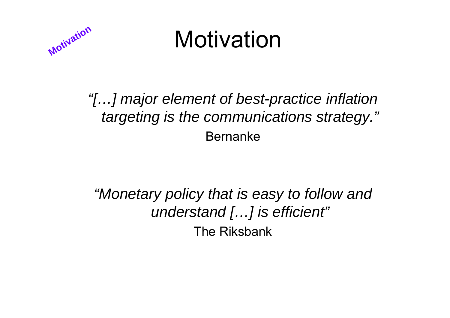

## Motivation

#### *"[…] major element of best-practice inflation targeting is the communications strategy."* Bernanke

*"Monetary policy that is easy to follow and understand […] is efficient"* The Riksbank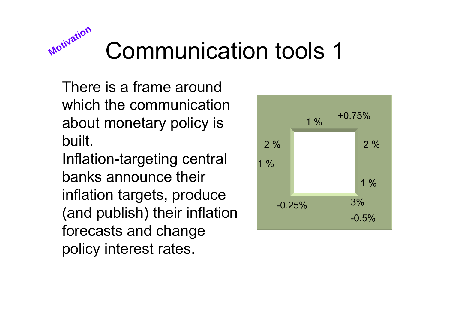

# Communication tools 1

There is a frame around which the communication about monetary policy is built.

Inflation-targeting central banks announce their inflation targets, produce (and publish) their inflation forecasts and change policy interest rates.

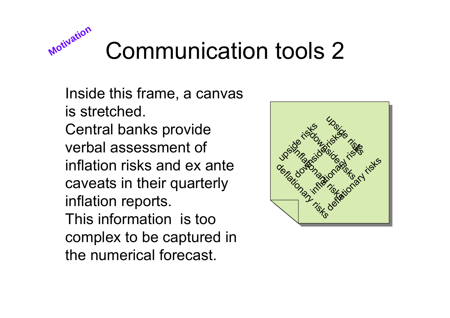

Inside this frame, a canvas is stretched.

Central banks provide verbal assessment of inflation risks and ex ante caveats in their quarterly inflation reports. This information is too complex to be captured in the numerical forecast.

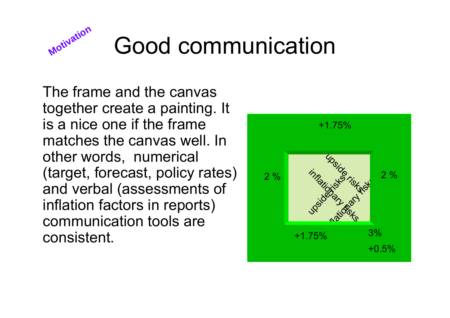

# Good communication

The frame and the canvas together create a painting. It is a nice one if the frame matches the canvas well. In other words, numerical (target, forecast, policy rates) and verbal (assessments of inflation factors in reports) communication tools are consistent.

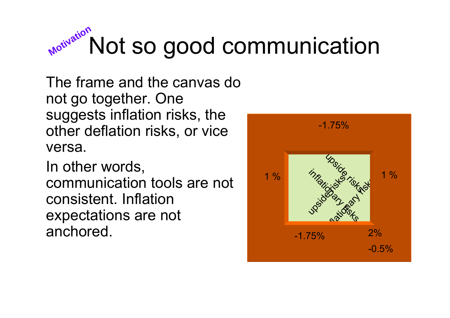

The frame and the canvas do not go together. One suggests inflation risks, the other deflation risks, or vice versa.

In other words, communication tools are not consistent. Inflation expectations are not anchored.

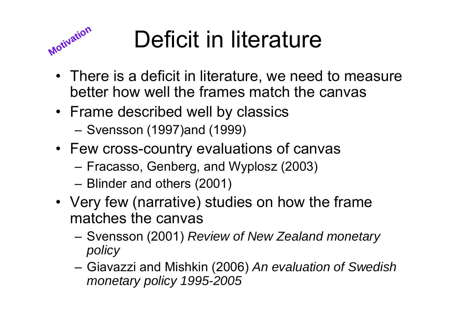

# Deficit in literature

- There is a deficit in literature, we need to measure better how well the frames match the canvas
- Frame described well by classics
	- –Svensson (1997)and (1999)
- Few cross-country evaluations of canvas
	- –Fracasso, Genberg, and Wyplosz (2003)
	- –Blinder and others (2001)
- Very few (narrative) studies on how the frame matches the canvas
	- – Svensson (2001) *Review of New Zealand monetary policy*
	- – Giavazzi and Mishkin (2006) *An evaluation of Swedish monetary policy 1995-2005*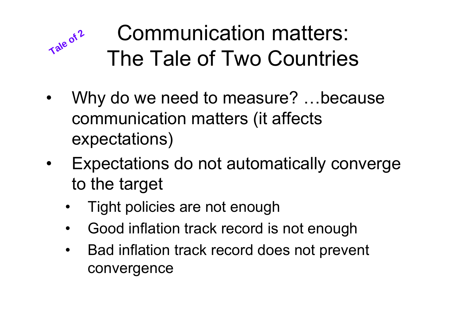#### Communication matters: The Tale of Two Countries**Tale of <sup>2</sup>**

- $\bullet$  Why do we need to measure? …because communication matters (it affects expectations)
- • Expectations do not automatically converge to the target
	- •Tight policies are not enough
	- $\bullet$ Good inflation track record is not enough
	- • Bad inflation track record does not prevent convergence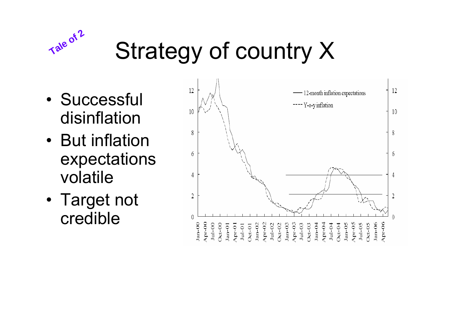

# Strategy of country X

- Successful disinflation
- But inflation expectations volatile
- Target not credible

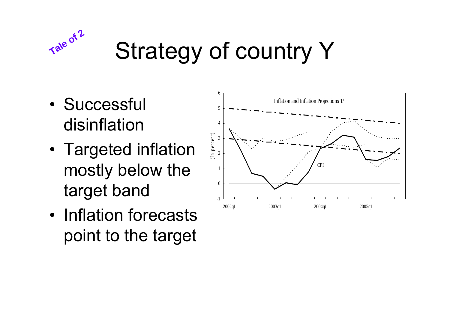

# Strategy of country Y

- Successful disinflation
- • Targeted inflation mostly below the target band
- Inflation forecasts point to the target

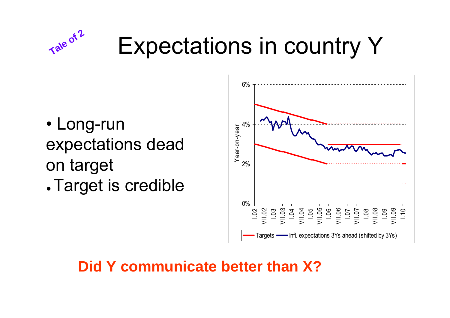# **Tale<sup>of</sup> 2** Expectations in country Y

- Long-run expectations dead on target
- ●Target is credible



#### **Did Y communicate better than X?**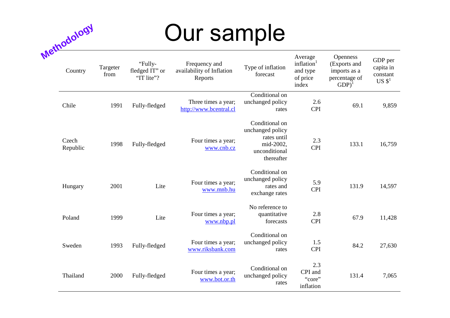## Our sample

| Methodology       |                  | Our sample                              |                                                       |                                                                                               |                                                                    |                                                                               |                                                       |  |
|-------------------|------------------|-----------------------------------------|-------------------------------------------------------|-----------------------------------------------------------------------------------------------|--------------------------------------------------------------------|-------------------------------------------------------------------------------|-------------------------------------------------------|--|
| Country           | Targeter<br>from | "Fully-<br>fledged IT" or<br>"IT lite"? | Frequency and<br>availability of Inflation<br>Reports | Type of inflation<br>forecast                                                                 | Average<br>inflation <sup>1</sup><br>and type<br>of price<br>index | Openness<br>(Exports and<br>imports as a<br>percentage of<br>GDP <sup>1</sup> | GDP per<br>capita in<br>constant<br>US S <sup>1</sup> |  |
| Chile             | 1991             | Fully-fledged                           | Three times a year;<br>http://www.bcentral.cl         | Conditional on<br>unchanged policy<br>rates                                                   | 2.6<br><b>CPI</b>                                                  | 69.1                                                                          | 9,859                                                 |  |
| Czech<br>Republic | 1998             | Fully-fledged                           | Four times a year;<br>www.cnb.cz                      | Conditional on<br>unchanged policy<br>rates until<br>mid-2002.<br>unconditional<br>thereafter | 2.3<br><b>CPI</b>                                                  | 133.1                                                                         | 16,759                                                |  |
| Hungary           | 2001             | Lite                                    | Four times a year;<br>www.mnb.hu                      | Conditional on<br>unchanged policy<br>rates and<br>exchange rates                             | 5.9<br><b>CPI</b>                                                  | 131.9                                                                         | 14,597                                                |  |
| Poland            | 1999             | Lite                                    | Four times a year;<br>www.nbp.pl                      | No reference to<br>quantitative<br>forecasts                                                  | 2.8<br><b>CPI</b>                                                  | 67.9                                                                          | 11,428                                                |  |
| Sweden            | 1993             | Fully-fledged                           | Four times a year;<br>www.riksbank.com                | Conditional on<br>unchanged policy<br>rates                                                   | 1.5<br><b>CPI</b>                                                  | 84.2                                                                          | 27,630                                                |  |
| Thailand          | 2000             | Fully-fledged                           | Four times a year;<br>www.bot.or.th                   | Conditional on<br>unchanged policy<br>rates                                                   | 2.3<br>CPI and<br>"core"<br>inflation                              | 131.4                                                                         | 7,065                                                 |  |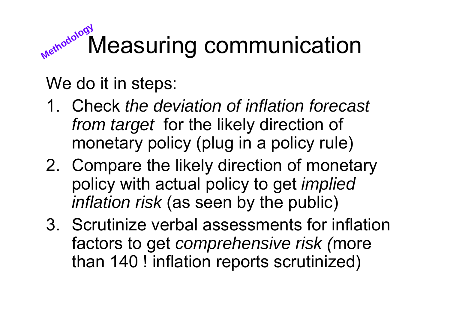#### Measuring communication **Methodology**

We do it in steps:

- 1. Check *the deviation of inflation forecast from target* for the likely direction of monetary policy (plug in a policy rule)
- 2. Compare the likely direction of monetary policy with actual policy to get *implied inflation risk* (as seen by the public)
- 3. Scrutinize verbal assessments for inflation factors to get *comprehensive risk (*more than 140 ! inflation reports scrutinized)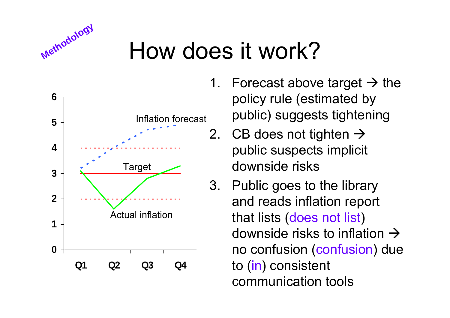

## How does it work?



- 1. Forecast above target  $\rightarrow$  the policy rule (estimated by public) suggests tightening
- 2.  $\,$  CB does not tighten  $\rightarrow$ public suspects implicit downside risks
- 3. Public goes to the library and reads inflation report that lists (does not list) downside risks to inflation  $\rightarrow$ no confusion (confusion) due to (in) consistent communication tools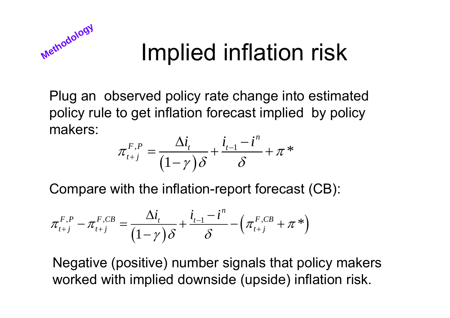

## Implied inflation risk

Plug an observed policy rate change into estimated policy rule to get inflation forecast implied by policy makers:

$$
\pi^{F,P}_{t+j} = \frac{\Delta i_t}{(1-\gamma)\delta} + \frac{i_{t-1} - i^n}{\delta} + \pi^*
$$

Compare with the inflation-report forecast (CB):

$$
\pi_{t+j}^{F,P} - \pi_{t+j}^{F,CB} = \frac{\Delta i_t}{(1-\gamma)\delta} + \frac{i_{t-1} - i^n}{\delta} - \left(\pi_{t+j}^{F,CB} + \pi^{*}\right)
$$

Negative (positive) number signals that policy makers worked with implied downside (upside) inflation risk.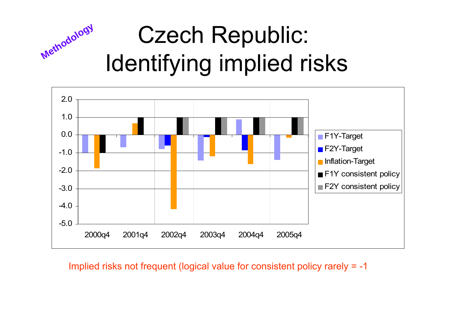#### Czech Republic: Identifying implied risks **Methodology**



Implied risks not frequent (logical value for consistent policy rarely = -1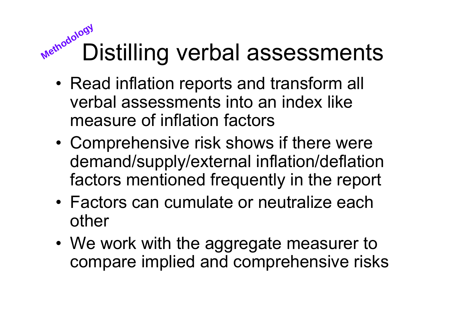## Distilling verbal assessments **Methodology**

- • Read inflation reports and transform all verbal assessments into an index like measure of inflation factors
- • Comprehensive risk shows if there were demand/supply/external inflation/deflation factors mentioned frequently in the report
- Factors can cumulate or neutralize each other
- We work with the aggregate measurer to compare implied and comprehensive risks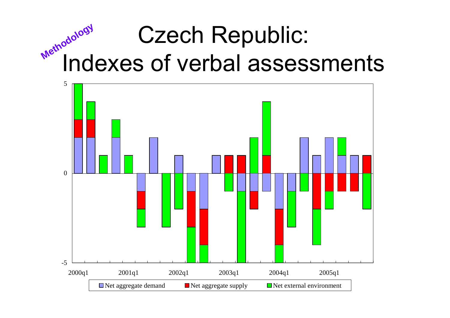#### Czech Republic: Indexes of verbal assessments **Methodology**

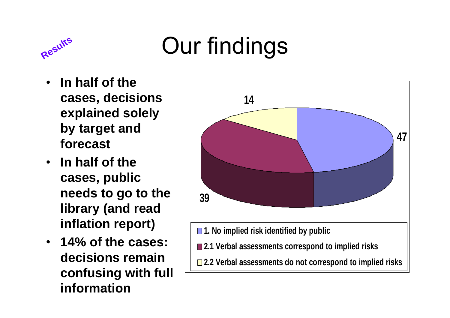

# Results Our findings

- • **In half of the cases, decisions explained solely by target and forecast**
- $\bullet$  **In half of the cases, public needs to go to the library (and read inflation report)**
- **14% of the cases: decisions remain confusing with full information**

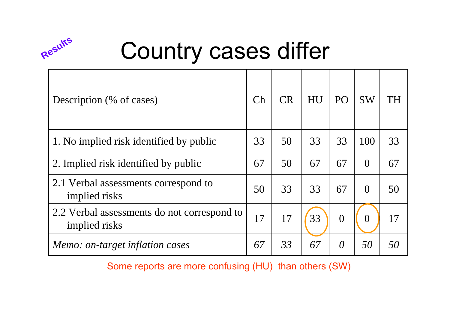

# **Country cases differ**

| Description (% of cases)                                     | Ch | <b>CR</b> | HU | P <sub>O</sub> | <b>SW</b> | TH |
|--------------------------------------------------------------|----|-----------|----|----------------|-----------|----|
| 1. No implied risk identified by public                      |    | 50        | 33 | 33             | 100       | 33 |
| 2. Implied risk identified by public                         |    | 50        | 67 | 67             | $\theta$  | 67 |
| 2.1 Verbal assessments correspond to<br>implied risks        |    | 33        | 33 | 67             | $\Omega$  | 50 |
| 2.2 Verbal assessments do not correspond to<br>implied risks |    | 17        | 33 | $\overline{0}$ | $\Omega$  | 17 |
| Memo: on-target inflation cases                              | 67 | 33        | 67 | $\theta$       | 50        | 50 |

Some reports are more confusing (HU) than others (SW)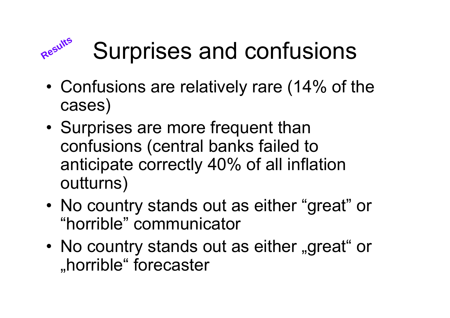# **Results**

# Surprises and confusions

- • Confusions are relatively rare (14% of the cases)
- • Surprises are more frequent than confusions (central banks failed to anticipate correctly 40% of all inflation outturns)
- • No country stands out as either "great" or "horrible" communicator
- •No country stands out as either "great" or "horrible" forecaster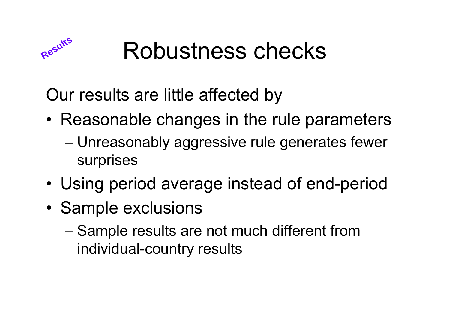

## Robustness checks

Our results are little affected by

- Reasonable changes in the rule parameters
	- – Unreasonably aggressive rule generates fewer surprises
- •Using period average instead of end-period
- • Sample exclusions
	- – Sample results are not much different from individual-country results